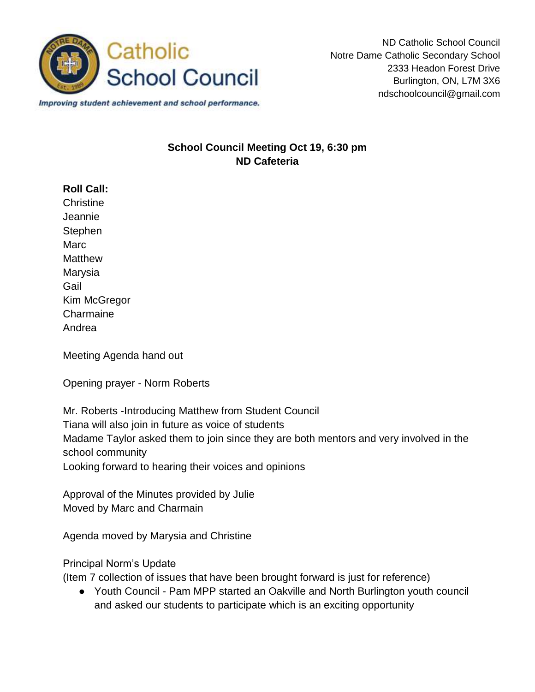

ND Catholic School Council Notre Dame Catholic Secondary School 2333 Headon Forest Drive Burlington, ON, L7M 3X6 ndschoolcouncil@gmail.com

Improving student achievement and school performance.

## **School Council Meeting Oct 19, 6:30 pm ND Cafeteria**

## **Roll Call:**

**Christine** Jeannie **Stephen Marc Matthew** Marysia Gail Kim McGregor **Charmaine** Andrea

Meeting Agenda hand out

Opening prayer - Norm Roberts

Mr. Roberts -Introducing Matthew from Student Council Tiana will also join in future as voice of students Madame Taylor asked them to join since they are both mentors and very involved in the school community Looking forward to hearing their voices and opinions

Approval of the Minutes provided by Julie Moved by Marc and Charmain

Agenda moved by Marysia and Christine

## Principal Norm's Update

(Item 7 collection of issues that have been brought forward is just for reference)

● Youth Council - Pam MPP started an Oakville and North Burlington youth council and asked our students to participate which is an exciting opportunity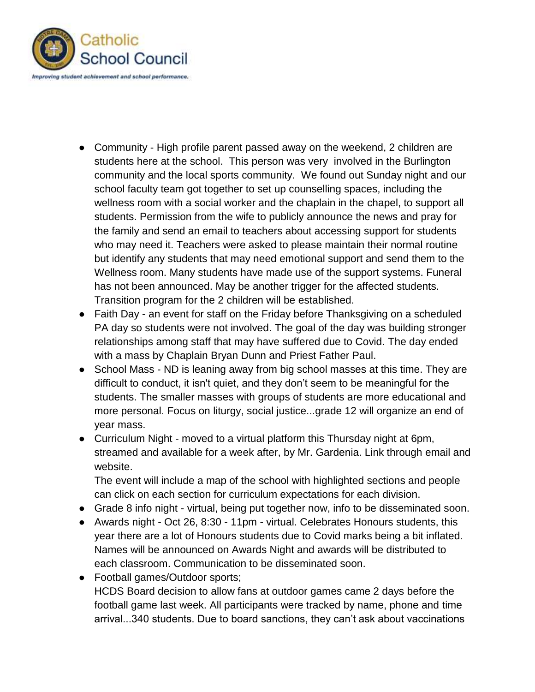

- Community High profile parent passed away on the weekend, 2 children are students here at the school. This person was very involved in the Burlington community and the local sports community. We found out Sunday night and our school faculty team got together to set up counselling spaces, including the wellness room with a social worker and the chaplain in the chapel, to support all students. Permission from the wife to publicly announce the news and pray for the family and send an email to teachers about accessing support for students who may need it. Teachers were asked to please maintain their normal routine but identify any students that may need emotional support and send them to the Wellness room. Many students have made use of the support systems. Funeral has not been announced. May be another trigger for the affected students. Transition program for the 2 children will be established.
- Faith Day an event for staff on the Friday before Thanksgiving on a scheduled PA day so students were not involved. The goal of the day was building stronger relationships among staff that may have suffered due to Covid. The day ended with a mass by Chaplain Bryan Dunn and Priest Father Paul.
- School Mass ND is leaning away from big school masses at this time. They are difficult to conduct, it isn't quiet, and they don't seem to be meaningful for the students. The smaller masses with groups of students are more educational and more personal. Focus on liturgy, social justice...grade 12 will organize an end of year mass.
- Curriculum Night moved to a virtual platform this Thursday night at 6pm, streamed and available for a week after, by Mr. Gardenia. Link through email and website.

The event will include a map of the school with highlighted sections and people can click on each section for curriculum expectations for each division.

- Grade 8 info night virtual, being put together now, info to be disseminated soon.
- Awards night Oct 26, 8:30 11pm virtual. Celebrates Honours students, this year there are a lot of Honours students due to Covid marks being a bit inflated. Names will be announced on Awards Night and awards will be distributed to each classroom. Communication to be disseminated soon.
- Football games/Outdoor sports; HCDS Board decision to allow fans at outdoor games came 2 days before the football game last week. All participants were tracked by name, phone and time arrival...340 students. Due to board sanctions, they can't ask about vaccinations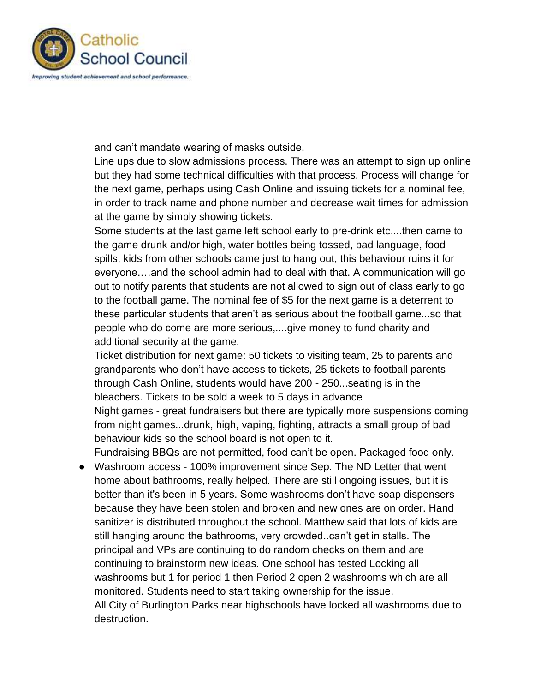

and can't mandate wearing of masks outside.

Line ups due to slow admissions process. There was an attempt to sign up online but they had some technical difficulties with that process. Process will change for the next game, perhaps using Cash Online and issuing tickets for a nominal fee, in order to track name and phone number and decrease wait times for admission at the game by simply showing tickets.

Some students at the last game left school early to pre-drink etc....then came to the game drunk and/or high, water bottles being tossed, bad language, food spills, kids from other schools came just to hang out, this behaviour ruins it for everyone.…and the school admin had to deal with that. A communication will go out to notify parents that students are not allowed to sign out of class early to go to the football game. The nominal fee of \$5 for the next game is a deterrent to these particular students that aren't as serious about the football game...so that people who do come are more serious,....give money to fund charity and additional security at the game.

Ticket distribution for next game: 50 tickets to visiting team, 25 to parents and grandparents who don't have access to tickets, 25 tickets to football parents through Cash Online, students would have 200 - 250...seating is in the bleachers. Tickets to be sold a week to 5 days in advance Night games - great fundraisers but there are typically more suspensions coming from night games...drunk, high, vaping, fighting, attracts a small group of bad behaviour kids so the school board is not open to it.

Fundraising BBQs are not permitted, food can't be open. Packaged food only.

● Washroom access - 100% improvement since Sep. The ND Letter that went home about bathrooms, really helped. There are still ongoing issues, but it is better than it's been in 5 years. Some washrooms don't have soap dispensers because they have been stolen and broken and new ones are on order. Hand sanitizer is distributed throughout the school. Matthew said that lots of kids are still hanging around the bathrooms, very crowded..can't get in stalls. The principal and VPs are continuing to do random checks on them and are continuing to brainstorm new ideas. One school has tested Locking all washrooms but 1 for period 1 then Period 2 open 2 washrooms which are all monitored. Students need to start taking ownership for the issue. All City of Burlington Parks near highschools have locked all washrooms due to destruction.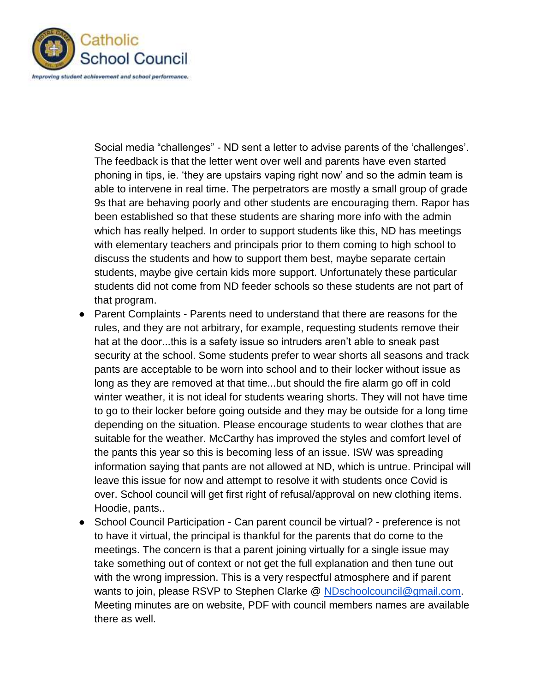

Social media "challenges" - ND sent a letter to advise parents of the 'challenges'. The feedback is that the letter went over well and parents have even started phoning in tips, ie. 'they are upstairs vaping right now' and so the admin team is able to intervene in real time. The perpetrators are mostly a small group of grade 9s that are behaving poorly and other students are encouraging them. Rapor has been established so that these students are sharing more info with the admin which has really helped. In order to support students like this, ND has meetings with elementary teachers and principals prior to them coming to high school to discuss the students and how to support them best, maybe separate certain students, maybe give certain kids more support. Unfortunately these particular students did not come from ND feeder schools so these students are not part of that program.

- Parent Complaints Parents need to understand that there are reasons for the rules, and they are not arbitrary, for example, requesting students remove their hat at the door...this is a safety issue so intruders aren't able to sneak past security at the school. Some students prefer to wear shorts all seasons and track pants are acceptable to be worn into school and to their locker without issue as long as they are removed at that time...but should the fire alarm go off in cold winter weather, it is not ideal for students wearing shorts. They will not have time to go to their locker before going outside and they may be outside for a long time depending on the situation. Please encourage students to wear clothes that are suitable for the weather. McCarthy has improved the styles and comfort level of the pants this year so this is becoming less of an issue. ISW was spreading information saying that pants are not allowed at ND, which is untrue. Principal will leave this issue for now and attempt to resolve it with students once Covid is over. School council will get first right of refusal/approval on new clothing items. Hoodie, pants..
- School Council Participation Can parent council be virtual? preference is not to have it virtual, the principal is thankful for the parents that do come to the meetings. The concern is that a parent joining virtually for a single issue may take something out of context or not get the full explanation and then tune out with the wrong impression. This is a very respectful atmosphere and if parent wants to join, please RSVP to Stephen Clarke @ [NDschoolcouncil@gmail.com.](mailto:NDschoolcouncil@gmail.com) Meeting minutes are on website, PDF with council members names are available there as well.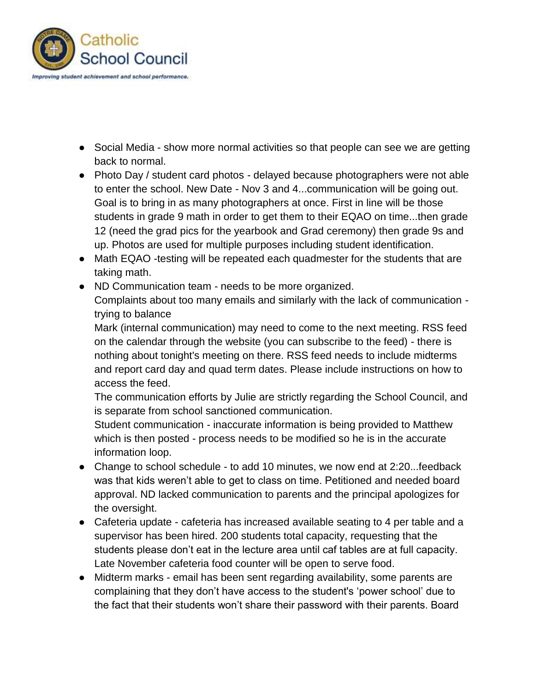

- Social Media show more normal activities so that people can see we are getting back to normal.
- Photo Day / student card photos delayed because photographers were not able to enter the school. New Date - Nov 3 and 4...communication will be going out. Goal is to bring in as many photographers at once. First in line will be those students in grade 9 math in order to get them to their EQAO on time...then grade 12 (need the grad pics for the yearbook and Grad ceremony) then grade 9s and up. Photos are used for multiple purposes including student identification.
- Math EQAO -testing will be repeated each quadmester for the students that are taking math.
- ND Communication team needs to be more organized.

Complaints about too many emails and similarly with the lack of communication trying to balance

Mark (internal communication) may need to come to the next meeting. RSS feed on the calendar through the website (you can subscribe to the feed) - there is nothing about tonight's meeting on there. RSS feed needs to include midterms and report card day and quad term dates. Please include instructions on how to access the feed.

The communication efforts by Julie are strictly regarding the School Council, and is separate from school sanctioned communication.

Student communication - inaccurate information is being provided to Matthew which is then posted - process needs to be modified so he is in the accurate information loop.

- Change to school schedule to add 10 minutes, we now end at 2:20...feedback was that kids weren't able to get to class on time. Petitioned and needed board approval. ND lacked communication to parents and the principal apologizes for the oversight.
- Cafeteria update cafeteria has increased available seating to 4 per table and a supervisor has been hired. 200 students total capacity, requesting that the students please don't eat in the lecture area until caf tables are at full capacity. Late November cafeteria food counter will be open to serve food.
- Midterm marks email has been sent regarding availability, some parents are complaining that they don't have access to the student's 'power school' due to the fact that their students won't share their password with their parents. Board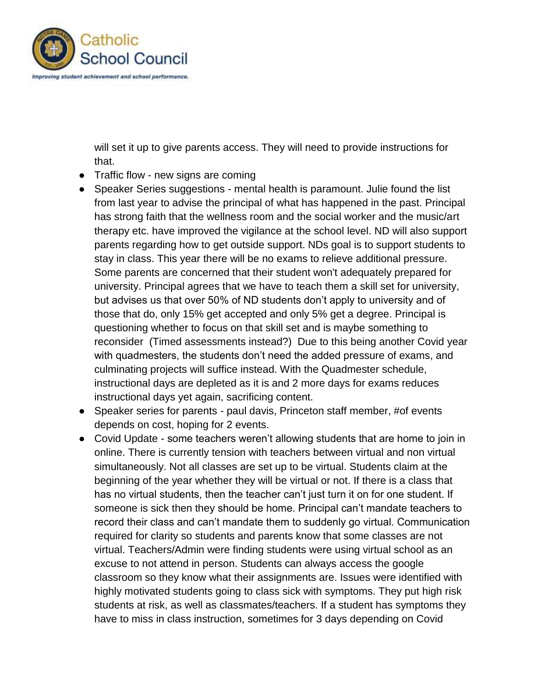

will set it up to give parents access. They will need to provide instructions for that.

- Traffic flow new signs are coming
- Speaker Series suggestions mental health is paramount. Julie found the list from last year to advise the principal of what has happened in the past. Principal has strong faith that the wellness room and the social worker and the music/art therapy etc. have improved the vigilance at the school level. ND will also support parents regarding how to get outside support. NDs goal is to support students to stay in class. This year there will be no exams to relieve additional pressure. Some parents are concerned that their student won't adequately prepared for university. Principal agrees that we have to teach them a skill set for university, but advises us that over 50% of ND students don't apply to university and of those that do, only 15% get accepted and only 5% get a degree. Principal is questioning whether to focus on that skill set and is maybe something to reconsider (Timed assessments instead?) Due to this being another Covid year with quadmesters, the students don't need the added pressure of exams, and culminating projects will suffice instead. With the Quadmester schedule, instructional days are depleted as it is and 2 more days for exams reduces instructional days yet again, sacrificing content.
- Speaker series for parents paul davis, Princeton staff member, #of events depends on cost, hoping for 2 events.
- Covid Update some teachers weren't allowing students that are home to join in online. There is currently tension with teachers between virtual and non virtual simultaneously. Not all classes are set up to be virtual. Students claim at the beginning of the year whether they will be virtual or not. If there is a class that has no virtual students, then the teacher can't just turn it on for one student. If someone is sick then they should be home. Principal can't mandate teachers to record their class and can't mandate them to suddenly go virtual. Communication required for clarity so students and parents know that some classes are not virtual. Teachers/Admin were finding students were using virtual school as an excuse to not attend in person. Students can always access the google classroom so they know what their assignments are. Issues were identified with highly motivated students going to class sick with symptoms. They put high risk students at risk, as well as classmates/teachers. If a student has symptoms they have to miss in class instruction, sometimes for 3 days depending on Covid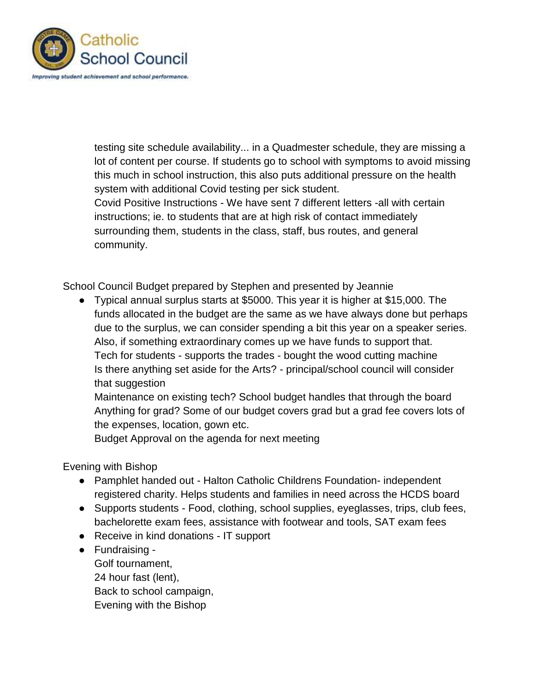

testing site schedule availability... in a Quadmester schedule, they are missing a lot of content per course. If students go to school with symptoms to avoid missing this much in school instruction, this also puts additional pressure on the health system with additional Covid testing per sick student. Covid Positive Instructions - We have sent 7 different letters -all with certain instructions; ie. to students that are at high risk of contact immediately

surrounding them, students in the class, staff, bus routes, and general community.

School Council Budget prepared by Stephen and presented by Jeannie

● Typical annual surplus starts at \$5000. This year it is higher at \$15,000. The funds allocated in the budget are the same as we have always done but perhaps due to the surplus, we can consider spending a bit this year on a speaker series. Also, if something extraordinary comes up we have funds to support that. Tech for students - supports the trades - bought the wood cutting machine Is there anything set aside for the Arts? - principal/school council will consider that suggestion

Maintenance on existing tech? School budget handles that through the board Anything for grad? Some of our budget covers grad but a grad fee covers lots of the expenses, location, gown etc.

Budget Approval on the agenda for next meeting

Evening with Bishop

- Pamphlet handed out Halton Catholic Childrens Foundation- independent registered charity. Helps students and families in need across the HCDS board
- Supports students Food, clothing, school supplies, eyeglasses, trips, club fees, bachelorette exam fees, assistance with footwear and tools, SAT exam fees
- Receive in kind donations IT support
- Fundraising Golf tournament, 24 hour fast (lent), Back to school campaign, Evening with the Bishop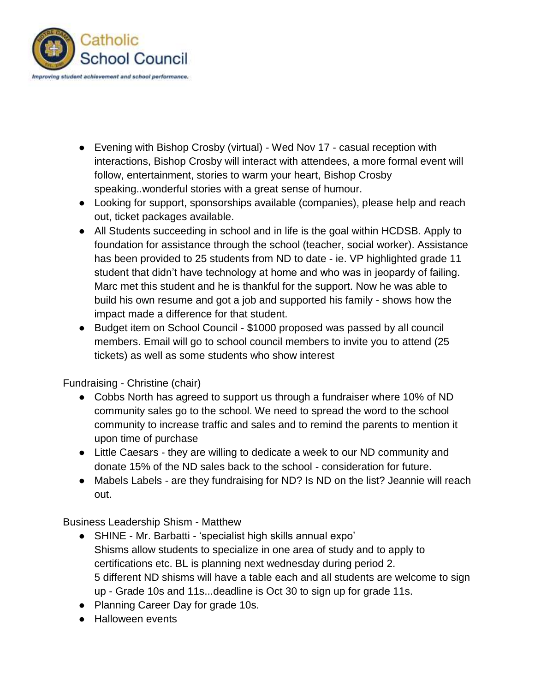

- Evening with Bishop Crosby (virtual) Wed Nov 17 casual reception with interactions, Bishop Crosby will interact with attendees, a more formal event will follow, entertainment, stories to warm your heart, Bishop Crosby speaking..wonderful stories with a great sense of humour.
- Looking for support, sponsorships available (companies), please help and reach out, ticket packages available.
- All Students succeeding in school and in life is the goal within HCDSB. Apply to foundation for assistance through the school (teacher, social worker). Assistance has been provided to 25 students from ND to date - ie. VP highlighted grade 11 student that didn't have technology at home and who was in jeopardy of failing. Marc met this student and he is thankful for the support. Now he was able to build his own resume and got a job and supported his family - shows how the impact made a difference for that student.
- Budget item on School Council \$1000 proposed was passed by all council members. Email will go to school council members to invite you to attend (25 tickets) as well as some students who show interest

Fundraising - Christine (chair)

- Cobbs North has agreed to support us through a fundraiser where 10% of ND community sales go to the school. We need to spread the word to the school community to increase traffic and sales and to remind the parents to mention it upon time of purchase
- Little Caesars they are willing to dedicate a week to our ND community and donate 15% of the ND sales back to the school - consideration for future.
- Mabels Labels are they fundraising for ND? Is ND on the list? Jeannie will reach out.

Business Leadership Shism - Matthew

- SHINE Mr. Barbatti 'specialist high skills annual expo' Shisms allow students to specialize in one area of study and to apply to certifications etc. BL is planning next wednesday during period 2. 5 different ND shisms will have a table each and all students are welcome to sign up - Grade 10s and 11s...deadline is Oct 30 to sign up for grade 11s.
- Planning Career Day for grade 10s.
- Halloween events